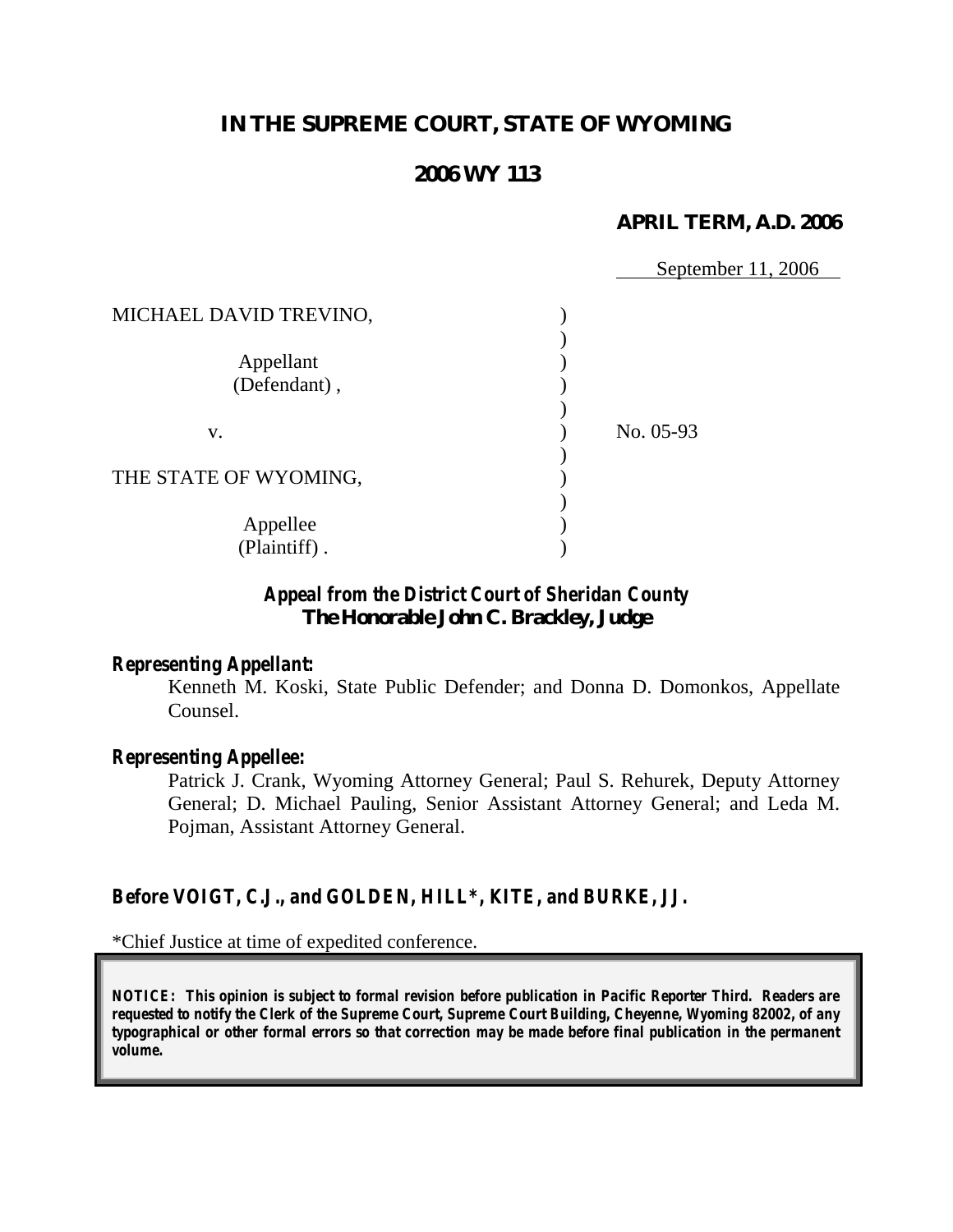# **IN THE SUPREME COURT, STATE OF WYOMING**

## **2006 WY 113**

### **APRIL TERM, A.D. 2006**

|                        | September 11, 2006 |
|------------------------|--------------------|
|                        |                    |
| MICHAEL DAVID TREVINO, |                    |
|                        |                    |
| Appellant              |                    |
| (Defendant),           |                    |
|                        |                    |
| V.                     | No. 05-93          |
|                        |                    |
| THE STATE OF WYOMING,  |                    |
|                        |                    |
| Appellee               |                    |
| (Plaintiff).           |                    |

## *Appeal from the District Court of Sheridan County* **The Honorable John C. Brackley, Judge**

#### *Representing Appellant:*

Kenneth M. Koski, State Public Defender; and Donna D. Domonkos, Appellate Counsel.

#### *Representing Appellee:*

Patrick J. Crank, Wyoming Attorney General; Paul S. Rehurek, Deputy Attorney General; D. Michael Pauling, Senior Assistant Attorney General; and Leda M. Pojman, Assistant Attorney General.

## *Before VOIGT, C.J., and GOLDEN, HILL\*, KITE, and BURKE, JJ.*

\*Chief Justice at time of expedited conference.

*NOTICE: This opinion is subject to formal revision before publication in Pacific Reporter Third. Readers are requested to notify the Clerk of the Supreme Court, Supreme Court Building, Cheyenne, Wyoming 82002, of any typographical or other formal errors so that correction may be made before final publication in the permanent volume.*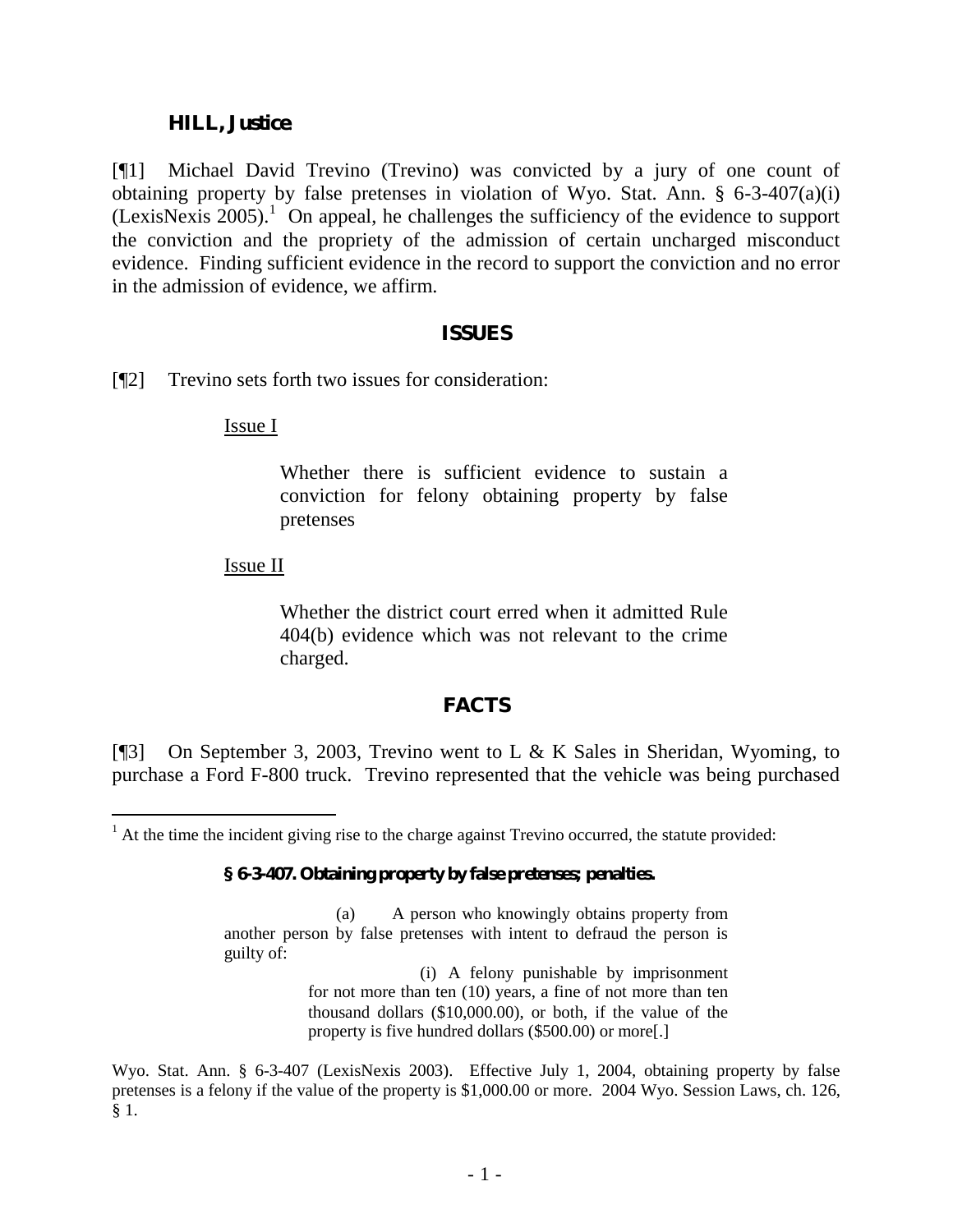### **HILL, Justice**.

[¶1] Michael David Trevino (Trevino) was convicted by a jury of one count of obtaining property by false pretenses in violation of Wyo. Stat. Ann. § 6-3-407(a)(i) (LexisNexis 2005).<sup>1</sup> On appeal, he challenges the sufficiency of the evidence to support the conviction and the propriety of the admission of certain uncharged misconduct evidence. Finding sufficient evidence in the record to support the conviction and no error in the admission of evidence, we affirm.

#### **ISSUES**

[¶2] Trevino sets forth two issues for consideration:

Issue I

Whether there is sufficient evidence to sustain a conviction for felony obtaining property by false pretenses

### Issue II

 $\overline{a}$ 

Whether the district court erred when it admitted Rule 404(b) evidence which was not relevant to the crime charged.

## **FACTS**

[¶3] On September 3, 2003, Trevino went to L & K Sales in Sheridan, Wyoming, to purchase a Ford F-800 truck. Trevino represented that the vehicle was being purchased

#### **§ 6-3-407. Obtaining property by false pretenses; penalties.**

(a) A person who knowingly obtains property from another person by false pretenses with intent to defraud the person is guilty of:

> (i) A felony punishable by imprisonment for not more than ten (10) years, a fine of not more than ten thousand dollars (\$10,000.00), or both, if the value of the property is five hundred dollars (\$500.00) or more[.]

Wyo. Stat. Ann. § 6-3-407 (LexisNexis 2003). Effective July 1, 2004, obtaining property by false pretenses is a felony if the value of the property is \$1,000.00 or more. 2004 Wyo. Session Laws, ch. 126, § 1.

 $<sup>1</sup>$  At the time the incident giving rise to the charge against Trevino occurred, the statute provided:</sup>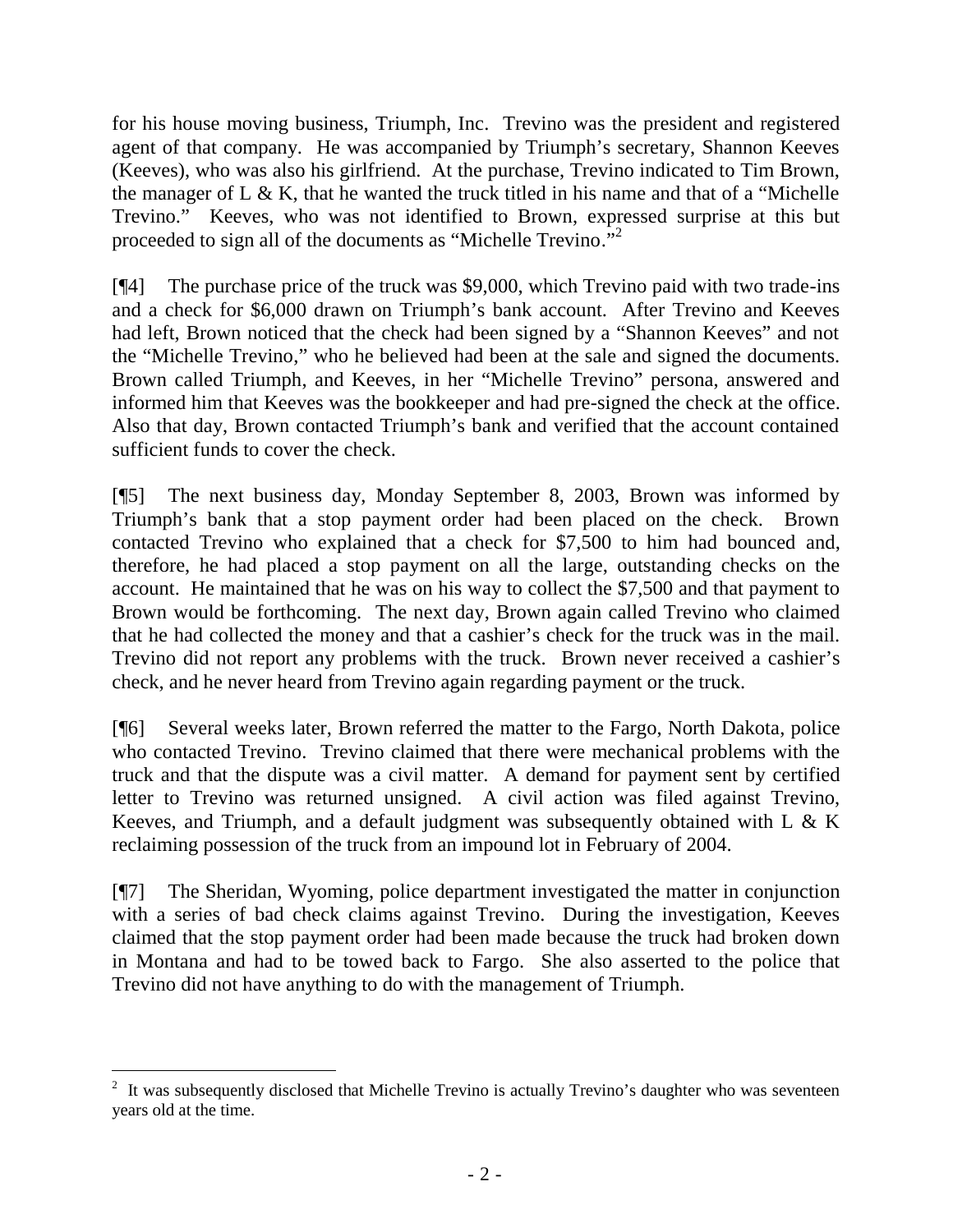for his house moving business, Triumph, Inc. Trevino was the president and registered agent of that company. He w as accompanied by Trium ph's secretary, Shannon K eeves (Keeves), who was also his girlfriend. At the purchase, Trevino indicated to Tim Brown, the m anager of  $L \& K$ , that he w anted the truck titled in his name and that of a "M ichelle T revino." Keeves, who was not identified to Brown, expressed surprise at this but proceeded to sign all of the docum ents as "M ichelle T revino."<sup>2</sup>

[¶4] The purchase price of the truck was \$9,000, which Trevino paid with two trade-ins and a check for \$6,000 drawn on Triumph's bank account. A fter T revino and K eeves had left, B rown noticed that the check had been signed by a "Shannon K eeves" and not the "M ich elle T revino ," w ho he believed had been at the sale and signed the documents. Brown called Triumph, and Keeves, in her "M ichelle T revino" persona, answ ered and informed him that Keeves was the bookkeeper and had pre-signed the check at the office. A lso that day, B rown contacted T rium ph's bank and verified that the account contained sufficient funds to cover the check.

[¶5] The next business day, Monday September 8, 2003, Brown was informed by Trium ph's bank that a stop payment order had been placed on the check. B rown contacted Trevino who explained that a check for \$7,500 to him had bounced and, therefore, he had placed a stop payment on all the large, outstanding checks on the account. He maintained that he was on his way to collect the \$7,500 and that payment to Brown would be forthcoming. The next day, Brown again called Trevino who claimed that he had collected the money and that a cashier's check for the truck was in the mail. Trevino did not report any problems with the truck. Brown never received a cashier's check, and he never heard from Trevino again regarding payment or the truck.

[¶6] Several weeks later, Brown referred the matter to the Fargo, North Dakota, police who contacted Trevino. Trevino claimed that there were mechanical problems with the truck and that the dispute was a civil matter. A demand for payment sent by certified letter to Trevino was returned unsigned. A civil action was filed against Trevino, Keeves, and Triumph, and a default judgment was subsequently obtained with L & K reclaiming possession of the truck from an impound lot in February of 2004.

[¶7] The Sheridan, Wyoming, police department investigated the matter in conjunction with a series of bad check claims against Trevino. During the investigation, Keeves claimed that the stop payment order had been made because the truck had broken down in Montana and had to be towed back to Fargo. She also asserted to the police that Trevino did not have anything to do with the management of Triumph.

 $\overline{a}$ <sup>2</sup> It was subsequently disclosed that M ichelle T revino is actually T revino's daughter who was seventeen years old at the time.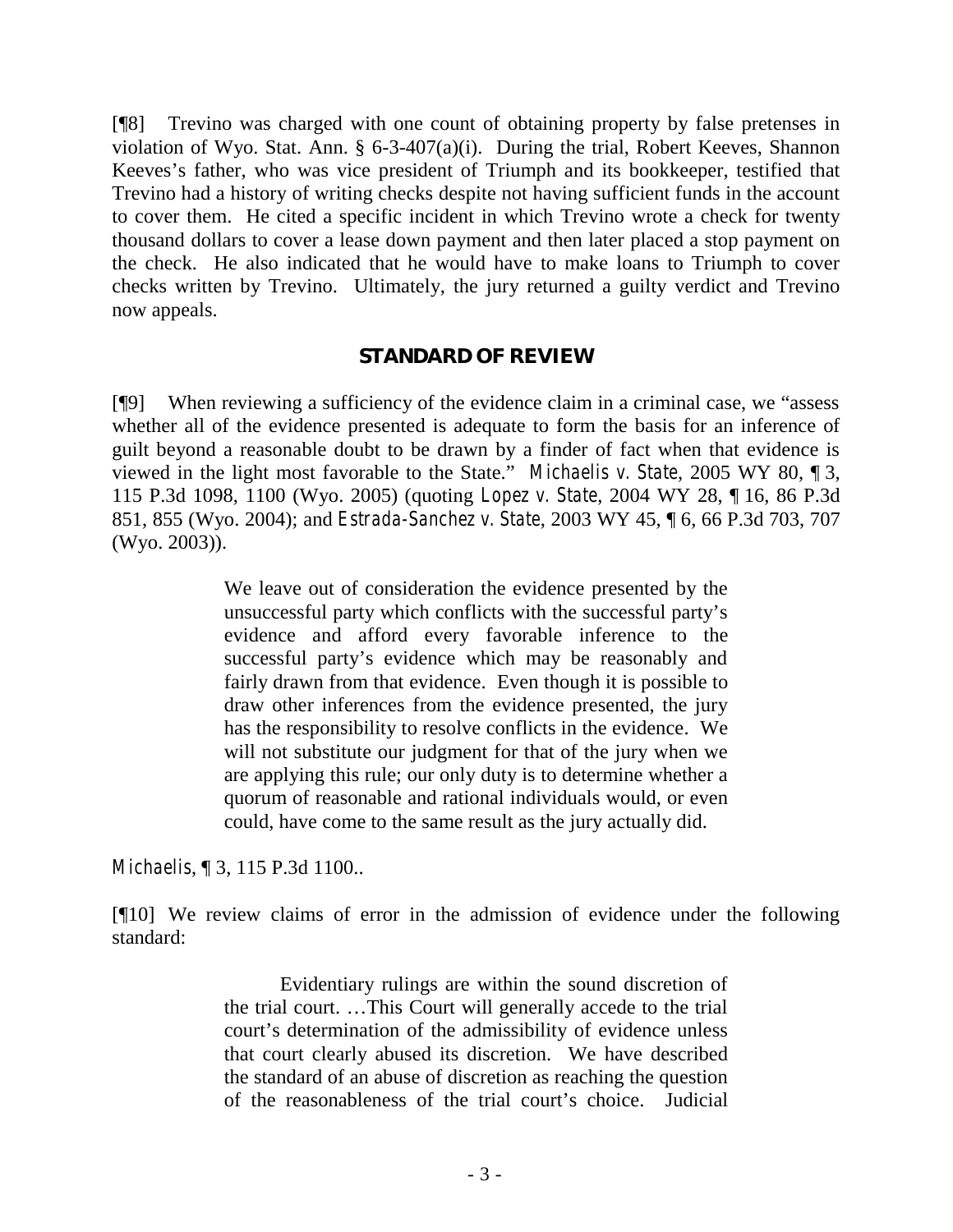[¶8] Trevino was charged with one count of obtaining property by false pretenses in violation of Wyo. Stat. Ann. § 6-3-407(a)(i). During the trial, Robert Keeves, Shannon K eeves's father, who was vice president of Triumph and its bookkeeper, testified that Trevino had a history of writing checks despite not having sufficient funds in the account to cover them. He cited a specific incident in which Trevino wrote a check for twenty thousand dollars to cover a lease down payment and then later placed a stop payment on the check. He also indicated that he would have to make loans to Triumph to cover checks written by Trevino. Ultimately, the jury returned a guilty verdict and Trevino now appeals.

### **STANDARD OF REVIEW**

 $[$ [9] W h en review ing a sufficiency of the evidence claim in a crim inal case, we "assess" whether all of the evidence presented is adequate to form the basis for an inference of guilt beyond a reasonable doubt to be drawn by a finder of fact when that evidence is view ed in the light m o st favorable to the S tate." *Michaelis v. State*, 2005 WY 80, ¶ 3, 115 P.3d 1098, 1100 (Wyo. 2005) (quoting *Lopez v. State*, 2004 WY 28, ¶ 16, 86 P.3d 851, 855 (Wyo. 2004); and *Estrada-Sanchez v. State*, 2003 WY 45, ¶ 6, 66 P.3d 703, 707 (Wyo. 2003)).

> We leave out of consideration the evidence presented by the unsuccessful party w hich conflicts w ith the successful party's evidence and afford every favorable inference to the successful party's evidence w hich m ay be reasonably and fairly drawn from that evidence. Even though it is possible to draw other inferences from the evidence presented, the jury has the responsibility to resolve conflicts in the evidence. We will not substitute our judgment for that of the jury when we are applying this rule; our only duty is to determine whether a quorum of reasonable and rational individuals would, or even could, have come to the same result as the jury actually did.

*Michaelis*, ¶ 3, 115 P.3d 1100..

[¶10] We review claims of error in the admission of evidence under the following standard:

> Evidentiary rulings are within the sound discretion of the trial court. … T his C ourt w ill gen erally accede to the trial court's determ ination of the admissibility of evidence unless that court clearly abused its discretion. We have described the standard of an abuse of discretion as reaching the question of the reasonableness of the trial court's choice. Judicial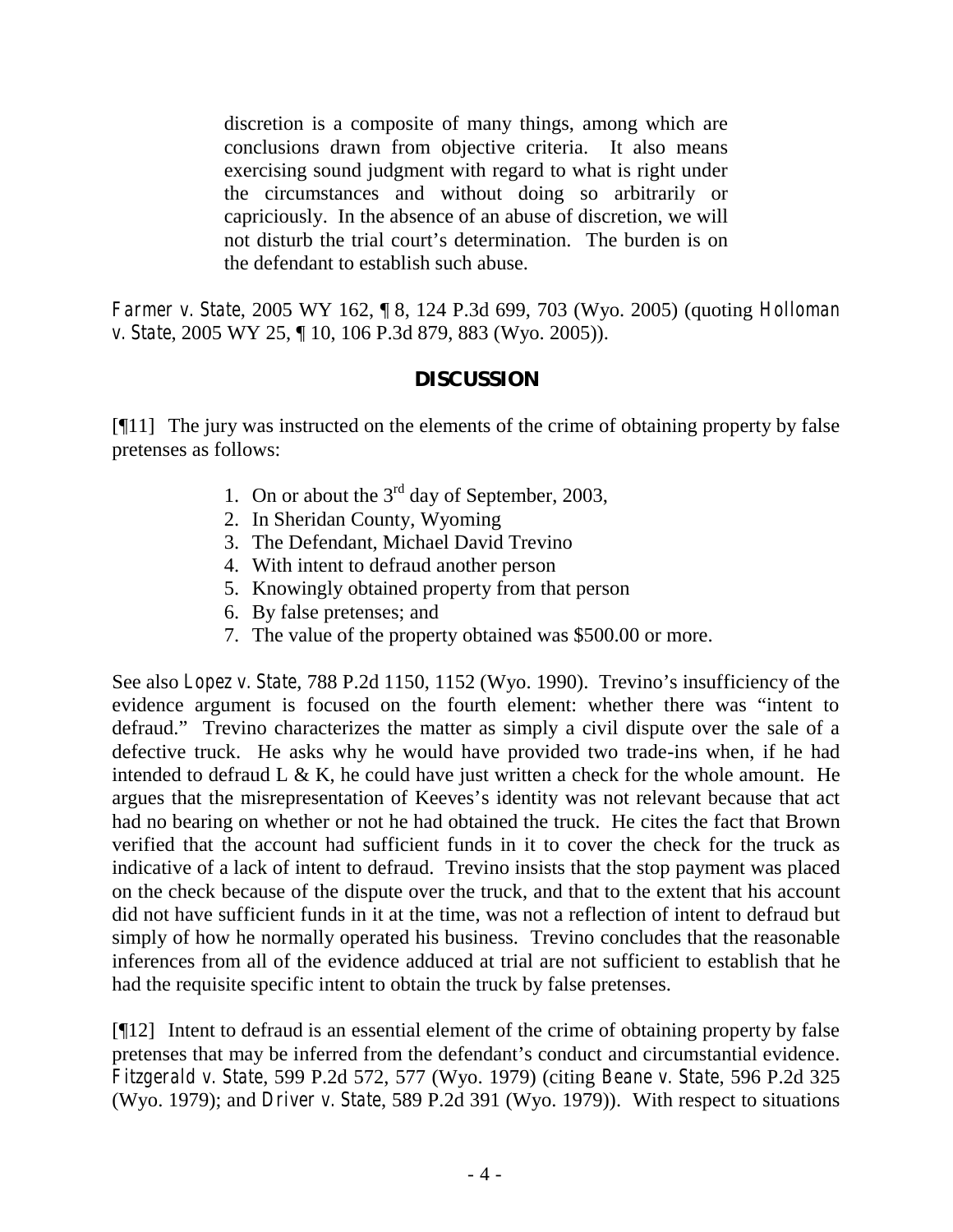discretion is a composite of many things, among which are conclusions drawn from objective criteria. It also means exercising sound judgment with regard to what is right under the circumstances and without doing so arbitrarily or capriciously. In the absence of an abuse of discretion, we will not disturb the trial court's determ ination. The burden is on the defendant to establish such abuse.

*Farmer v. State*, 2005 WY 162, ¶ 8, 124 P.3d 699, 703 (Wyo. 2005) (quoting *Holloman v. State*, 2005 WY 25, ¶ 10, 106 P.3d 879, 883 (Wyo. 2005)).

# **DISCUSSION**

[¶11] The jury was instructed on the elements of the crime of obtaining property by false pretenses as follows:

- 1. On or about the  $3<sup>rd</sup>$  day of September, 2003,
- 2. In Sheridan County, Wyoming
- 3. The Defendant, Michael David Trevino
- 4. With intent to defraud another person
- 5. Knowingly obtained property from that person
- 6. By false pretenses; and
- 7. The value of the property obtained was \$500.00 or more.

See also *Lopez v. State*, 788 P.2d 1150, 1152 (Wyo. 1990). T revino 's insufficiency of the evidence argument is focused on the fourth elem ent: w hether there w as "intent to defraud." Trevino characterizes the matter as simply a civil dispute over the sale of a defective truck. He asks why he would have provided two trade-ins when, if he had intended to defraud L  $\&$  K, he could have just written a check for the whole amount. He argues that the m isrepresentation of K eeves's identity was not relevant because that act had no bearing on whether or not he had obtained the truck. He cites the fact that Brown verified that the account had sufficient funds in it to cover the check for the truck as indicative of a lack of intent to defraud. Trevino insists that the stop payment was placed on the check because of the dispute over the truck, and that to the extent that his account did not have sufficient funds in it at the time, was not a reflection of intent to defraud but simply of how he normally operated his business. Trevino concludes that the reasonable inferences from all of the evidence adduced at trial are not sufficient to establish that he had the requisite specific intent to obtain the truck by false pretenses.

[¶12] Intent to defraud is an essential element of the crime of obtaining property by false pretenses that m ay be inferred from the defendant's conduct and circumstantial evidence. *Fitzgerald v. State*, 599 P.2d 572, 577 (Wyo. 1979) (citing *Beane v. State*, 596 P.2d 325 (Wyo. 1979); and *Driver v. State*, 589 P.2d 391 (Wyo. 1979)). With respect to situations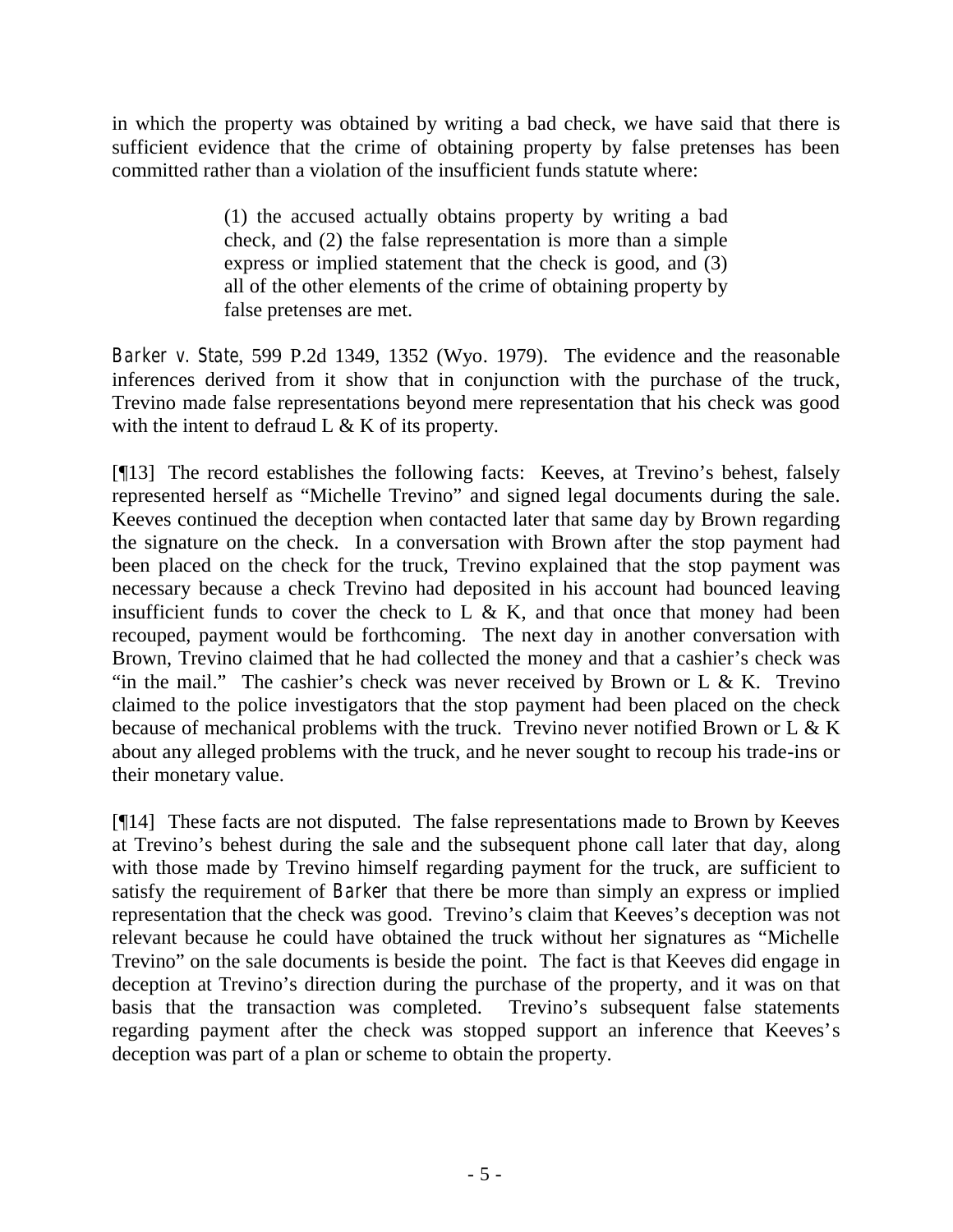in which the property was obtained by writing a bad check, we have said that there is sufficient evidence that the crime of obtaining property by false pretenses has been committed rather than a violation of the insufficient funds statute where:

> (1) the accused actually obtains property by writing a bad check, and (2) the false representation is more than a simple express or implied statement that the check is good, and (3) all of the other elements of the crime of obtaining property by false pretenses are met.

*Barker v. State*, 599 P.2d 1349, 1352 (Wyo. 1979). The evidence and the reasonable inferences derived from it show that in conjunction with the purchase of the truck, Trevino made false representations beyond mere representation that his check was good with the intent to defraud  $L \& K$  of its property.

[ $[13]$ ] The record establishes the following facts: K eeves, at T revino's behest, falsely represented herself as "M ichelle T revino" and signed legal documents during the sale. Keeves continued the deception when contacted later that same day by Brown regarding the signature on the check. In a conversation with Brown after the stop payment had been placed on the check for the truck, Trevino explained that the stop payment was necessary because a check Trevino had deposited in his account had bounced leaving insufficient funds to cover the check to  $L \& K$ , and that once that money had been recouped, payment would be forthcoming. The next day in another conversation with Brown, Trevino claimed that he had collected the money and that a cashier's check was "in the m ail." The cashier's check was never received by Brown or  $L \& K$ . Trevino claimed to the police investigators that the stop payment had been placed on the check because of mechanical problems with the truck. Trevino never notified Brown or L & K about any alleged problems with the truck, and he never sought to recoup his trade-ins or their monetary value.

[¶14] These facts are not disputed. The false representations made to Brown by Keeves at T revino's behest during the sale and the subsequent phone call later that day, along with those made by Trevino himself regarding payment for the truck, are sufficient to satisfy the requirement of *Barker* that there be more than simply an express or implied representation that the check was good. Trevino's claim that K eeves's deception was not relevant because he could have obtained the truck w ithout her signatures as "M ichelle T revino" on the sale do cum ents is beside the point. The fact is that Keeves did engage in deception at T revino's direction during the purchase of the property, and it was on that basis that the transaction was completed. T revino's subsequent false statements regarding paym ent after the check w as stopped support an inference that K eeves's deception was part of a plan or scheme to obtain the property.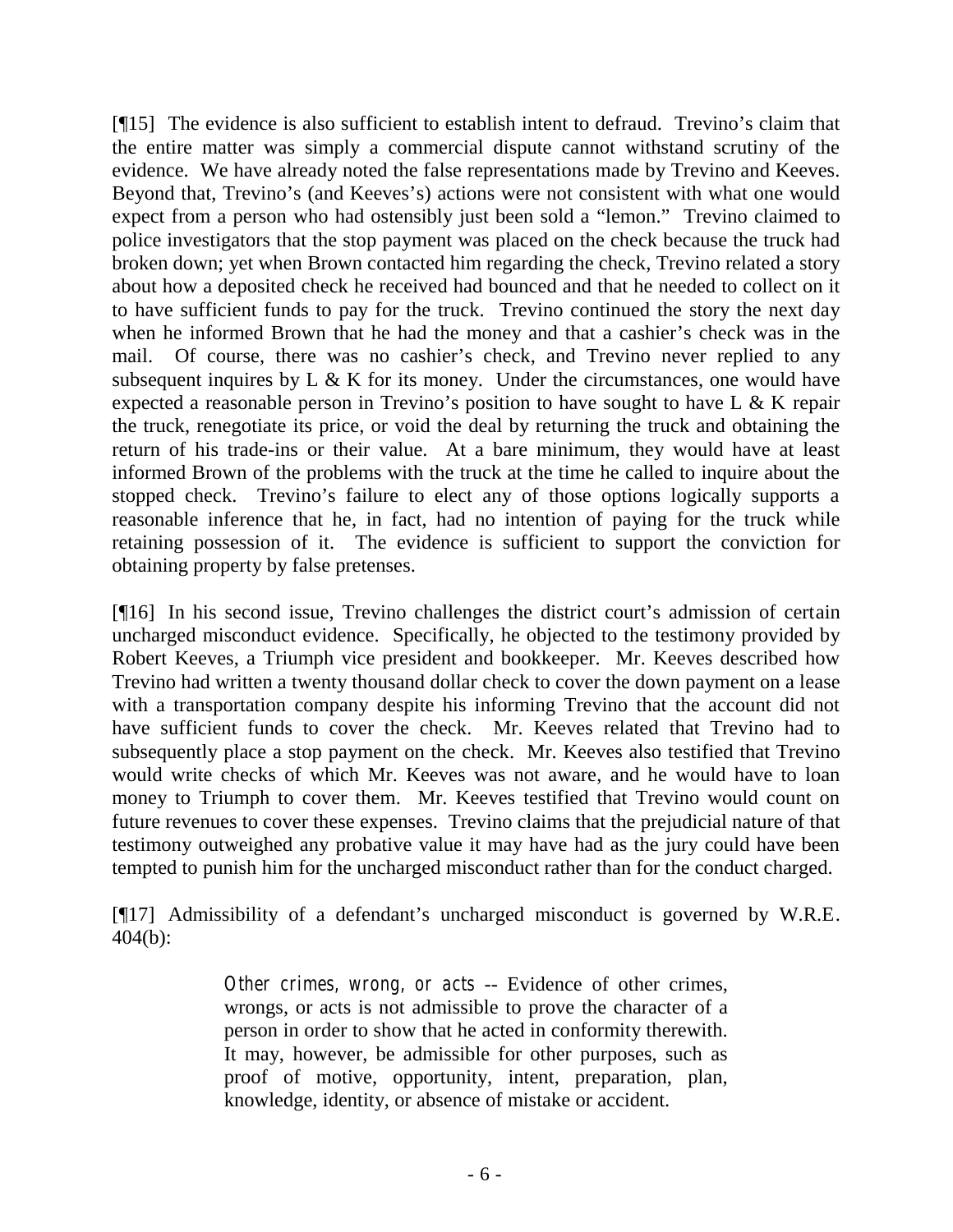$[915]$  The evidence is also sufficient to establish intent to defraud. T revino's claim that the entire matter was simply a commercial dispute cannot withstand scrutiny of the evidence. We have already noted the false representations made by Trevino and Keeves. B eyond that, T revino's (and K eeves's) actions were not consistent with what one would expect from a person who had ostensibly just been sold a "lemon." Trevino claimed to police investigators that the stop payment was placed on the check because the truck had broken down; yet when Brown contacted him regarding the check, Trevino related a story about how a deposited check he received had bounced and that he needed to collect on it to have sufficient funds to pay for the truck. Trevino continued the story the next day when he informed Brown that he had the money and that a cashier's check was in the mail. Of course, there was no cashier's check, and Trevino never replied to any subsequent inquires by  $L \& K$  for its money. Under the circumstances, one would have expected a reasonable person in T revino's position to have sought to have L  $\&$  K repair the truck, renegotiate its price, or void the deal by returning the truck and obtaining the return of his trade-ins or their value. At a bare minimum, they would have at least informed Brown of the problems with the truck at the time he called to inquire about the stopped check. T revino's failure to elect any of those options logically supports a reasonable inference that he, in fact, had no intention of paying for the truck while retaining possession of it. The evidence is sufficient to support the conviction for obtaining property by false pretenses.

 $[916]$  In his second issue, T revino challenges the district court's adm ission of certain uncharged misconduct evidence. Specifically, he objected to the testimony provided by Robert Keeves, a Triumph vice president and bookkeeper. Mr. Keeves described how Trevino had written a twenty thousand dollar check to cover the down payment on a lease with a transportation company despite his informing Trevino that the account did not have sufficient funds to cover the check. Mr. Keeves related that Trevino had to subsequently place a stop payment on the check. Mr. Keeves also testified that Trevino would write checks of which Mr. Keeves was not aware, and he would have to loan money to Triumph to cover them. Mr. Keeves testified that Trevino would count on future revenues to cover these expenses. Trevino claims that the prejudicial nature of that testimony outweighed any probative value it may have had as the jury could have been tempted to punish him for the uncharged misconduct rather than for the conduct charged.

 $[917]$  A dm issibility of a defendant's uncharged m isconduct is governed by W R.E. 404(b):

> *Other crimes, wrong, or acts -- Evidence of other crimes,* wrongs, or acts is not admissible to prove the character of a person in order to show that he acted in conformity therewith. It may, however, be admissible for other purposes, such as proof of motive, opportunity, intent, preparation, plan, knowledge, identity, or absence of mistake or accident.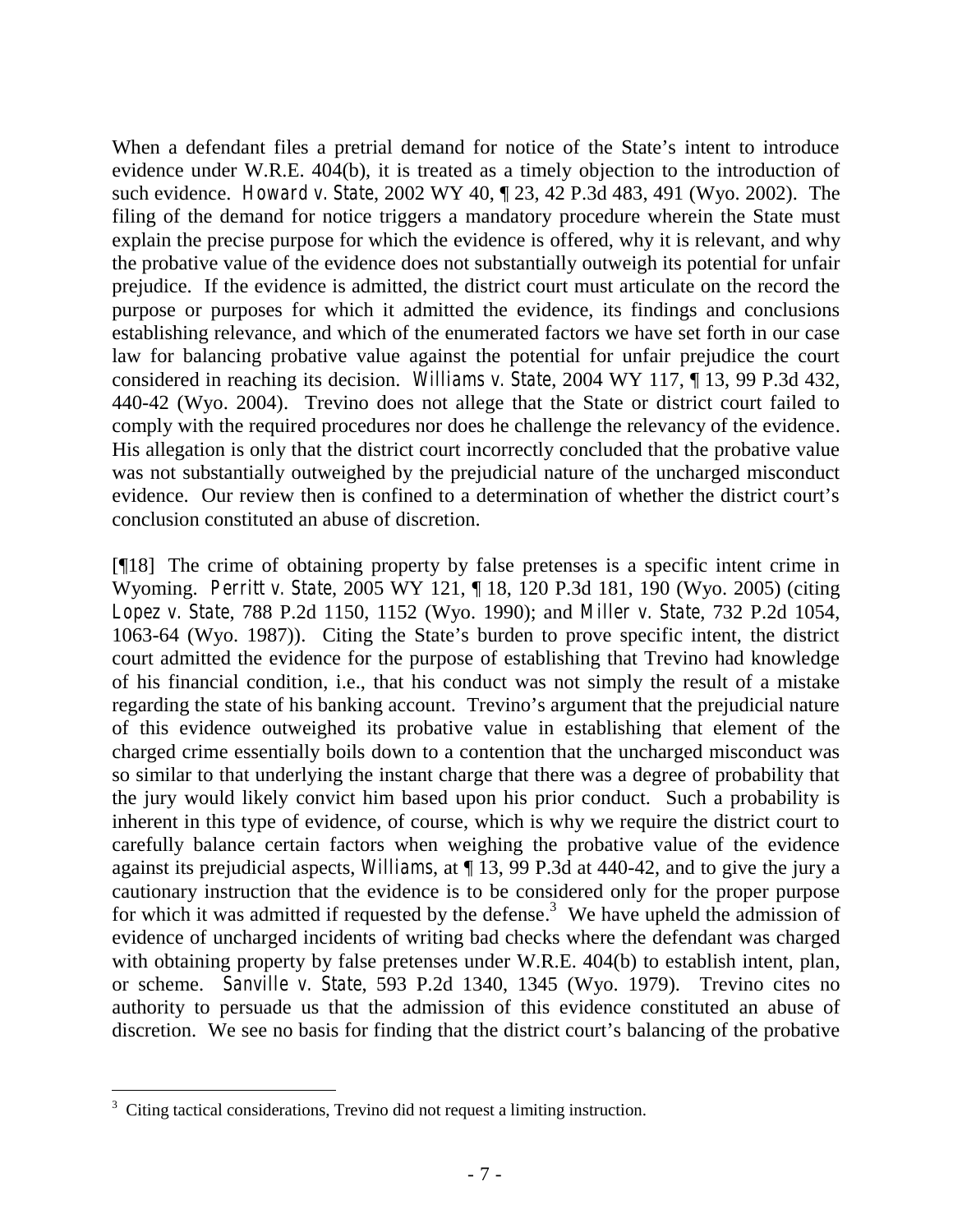W hen a defendant files a pretrial dem and for notice of the State's intent to introduce evidence under W.R.E. 404(b), it is treated as a timely objection to the introduction of such evidence. *Howard v. State*, 2002 WY 40, ¶ 23, 42 P.3d 483, 491 (Wyo. 2002). The filing of the demand for notice triggers a mandatory procedure wherein the State must explain the precise purpose for which the evidence is offered, why it is relevant, and why the probative value of the evidence does not substantially outweigh its potential for unfair prejudice. If the evidence is admitted, the district court must articulate on the record the purpose or purposes for which it admitted the evidence, its findings and conclusions establishing relevance, and which of the enumerated factors we have set forth in our case law for balancing probative value against the potential for unfair prejudice the court considered in reaching its decision. *Williams v. State*, 2004 WY 117, ¶ 13, 99 P.3d 432, 440-42 (Wyo. 2004). Trevino does not allege that the State or district court failed to comply with the required procedures nor does he challenge the relevancy of the evidence. His allegation is only that the district court incorrectly concluded that the probative value was not substantially outweighed by the prejudicial nature of the uncharged misconduct evidence. Our review then is confined to a determ ination of w hether the district court's conclusion constituted an abuse of discretion.

[¶18] The crime of obtaining property by false pretenses is a specific intent crime in Wyoming. *Perritt v. State*, 2005 WY 121, ¶ 18, 120 P.3d 181, 190 (Wyo. 2005) (citing *Lopez v. State*, 788 P.2d 1150, 1152 (Wyo. 1990); and *Miller v. State*, 732 P.2d 1054, 1063-64 (Wyo. 1987)). C iting the State's burden to prove specific intent, the district court admitted the evidence for the purpose of establishing that Trevino had knowledge of his financial condition, i.e., that his conduct was not simply the result of a mistake regarding the state of his banking account. T revino's argum ent that the prejudicial nature of this evidence outweighed its probative value in establishing that element of the charged crime essentially boils down to a contention that the uncharged misconduct was so similar to that underlying the instant charge that there was a degree of probability that the jury would likely convict him based upon his prior conduct. Such a probability is inherent in this type of evidence, of course, which is why we require the district court to carefully balance certain factors when weighing the probative value of the evidence against its prejudicial aspects, *Williams*, at ¶ 13, 99 P.3d at 440-42, and to give the jury a cautionary instruction that the evidence is to be considered only for the proper purpose for which it was admitted if requested by the defense.<sup>3</sup> We have upheld the admission of evidence of uncharged incidents of writing bad checks where the defendant was charged with obtaining property by false pretenses under W.R.E. 404(b) to establish intent, plan, or scheme. *Sanville v. State*, 593 P.2d 1340, 1345 (Wyo. 1979). Trevino cites no authority to persuade us that the admission of this evidence constituted an abuse of discretion. We see no basis for finding that the district court's balancing of the probative

 $\overline{a}$ 

<sup>&</sup>lt;sup>3</sup> Citing tactical considerations, Trevino did not request a limiting instruction.